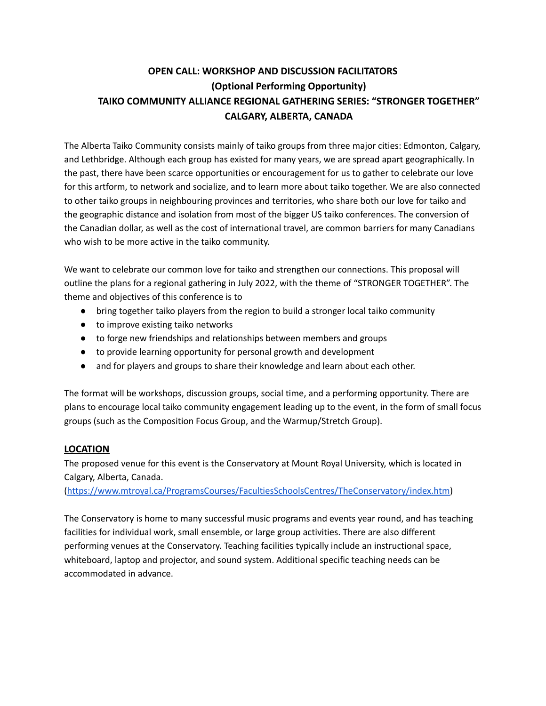# **OPEN CALL: WORKSHOP AND DISCUSSION FACILITATORS (Optional Performing Opportunity) TAIKO COMMUNITY ALLIANCE REGIONAL GATHERING SERIES: "STRONGER TOGETHER" CALGARY, ALBERTA, CANADA**

The Alberta Taiko Community consists mainly of taiko groups from three major cities: Edmonton, Calgary, and Lethbridge. Although each group has existed for many years, we are spread apart geographically. In the past, there have been scarce opportunities or encouragement for us to gather to celebrate our love for this artform, to network and socialize, and to learn more about taiko together. We are also connected to other taiko groups in neighbouring provinces and territories, who share both our love for taiko and the geographic distance and isolation from most of the bigger US taiko conferences. The conversion of the Canadian dollar, as well as the cost of international travel, are common barriers for many Canadians who wish to be more active in the taiko community.

We want to celebrate our common love for taiko and strengthen our connections. This proposal will outline the plans for a regional gathering in July 2022, with the theme of "STRONGER TOGETHER". The theme and objectives of this conference is to

- bring together taiko players from the region to build a stronger local taiko community
- to improve existing taiko networks
- to forge new friendships and relationships between members and groups
- to provide learning opportunity for personal growth and development
- and for players and groups to share their knowledge and learn about each other.

The format will be workshops, discussion groups, social time, and a performing opportunity. There are plans to encourage local taiko community engagement leading up to the event, in the form of small focus groups (such as the Composition Focus Group, and the Warmup/Stretch Group).

# **LOCATION**

The proposed venue for this event is the Conservatory at Mount Royal University, which is located in Calgary, Alberta, Canada.

[\(https://www.mtroyal.ca/ProgramsCourses/FacultiesSchoolsCentres/TheConservatory/index.htm\)](https://www.mtroyal.ca/ProgramsCourses/FacultiesSchoolsCentres/TheConservatory/index.htm)

The Conservatory is home to many successful music programs and events year round, and has teaching facilities for individual work, small ensemble, or large group activities. There are also different performing venues at the Conservatory. Teaching facilities typically include an instructional space, whiteboard, laptop and projector, and sound system. Additional specific teaching needs can be accommodated in advance.